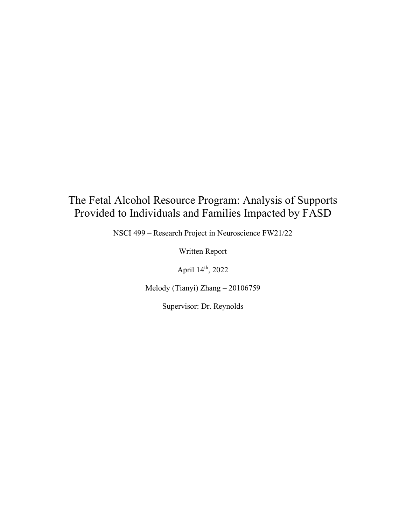# The Fetal Alcohol Resource Program: Analysis of Supports Provided to Individuals and Families Impacted by FASD

NSCI 499 – Research Project in Neuroscience FW21/22

Written Report

April 14th, 2022

Melody (Tianyi) Zhang – 20106759

Supervisor: Dr. Reynolds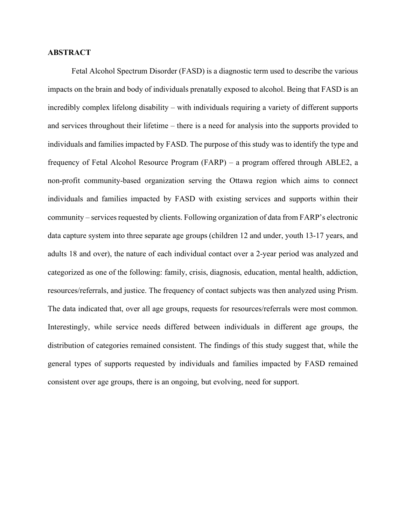# **ABSTRACT**

Fetal Alcohol Spectrum Disorder (FASD) is a diagnostic term used to describe the various impacts on the brain and body of individuals prenatally exposed to alcohol. Being that FASD is an incredibly complex lifelong disability – with individuals requiring a variety of different supports and services throughout their lifetime – there is a need for analysis into the supports provided to individuals and families impacted by FASD. The purpose of this study was to identify the type and frequency of Fetal Alcohol Resource Program (FARP) – a program offered through ABLE2, a non-profit community-based organization serving the Ottawa region which aims to connect individuals and families impacted by FASD with existing services and supports within their community – services requested by clients. Following organization of data from FARP's electronic data capture system into three separate age groups (children 12 and under, youth 13-17 years, and adults 18 and over), the nature of each individual contact over a 2-year period was analyzed and categorized as one of the following: family, crisis, diagnosis, education, mental health, addiction, resources/referrals, and justice. The frequency of contact subjects was then analyzed using Prism. The data indicated that, over all age groups, requests for resources/referrals were most common. Interestingly, while service needs differed between individuals in different age groups, the distribution of categories remained consistent. The findings of this study suggest that, while the general types of supports requested by individuals and families impacted by FASD remained consistent over age groups, there is an ongoing, but evolving, need for support.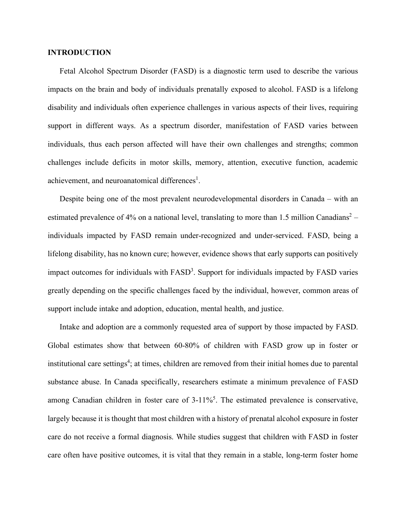# **INTRODUCTION**

Fetal Alcohol Spectrum Disorder (FASD) is a diagnostic term used to describe the various impacts on the brain and body of individuals prenatally exposed to alcohol. FASD is a lifelong disability and individuals often experience challenges in various aspects of their lives, requiring support in different ways. As a spectrum disorder, manifestation of FASD varies between individuals, thus each person affected will have their own challenges and strengths; common challenges include deficits in motor skills, memory, attention, executive function, academic achievement, and neuroanatomical differences<sup>1</sup>.

Despite being one of the most prevalent neurodevelopmental disorders in Canada – with an estimated prevalence of 4% on a national level, translating to more than 1.5 million Canadians<sup>2</sup> individuals impacted by FASD remain under-recognized and under-serviced. FASD, being a lifelong disability, has no known cure; however, evidence shows that early supports can positively impact outcomes for individuals with FASD<sup>3</sup>. Support for individuals impacted by FASD varies greatly depending on the specific challenges faced by the individual, however, common areas of support include intake and adoption, education, mental health, and justice.

Intake and adoption are a commonly requested area of support by those impacted by FASD. Global estimates show that between 60-80% of children with FASD grow up in foster or institutional care settings<sup>4</sup>; at times, children are removed from their initial homes due to parental substance abuse. In Canada specifically, researchers estimate a minimum prevalence of FASD among Canadian children in foster care of 3-11%<sup>5</sup>. The estimated prevalence is conservative, largely because it is thought that most children with a history of prenatal alcohol exposure in foster care do not receive a formal diagnosis. While studies suggest that children with FASD in foster care often have positive outcomes, it is vital that they remain in a stable, long-term foster home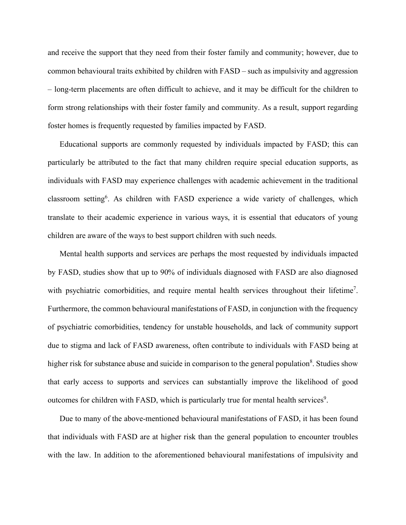and receive the support that they need from their foster family and community; however, due to common behavioural traits exhibited by children with FASD – such as impulsivity and aggression – long-term placements are often difficult to achieve, and it may be difficult for the children to form strong relationships with their foster family and community. As a result, support regarding foster homes is frequently requested by families impacted by FASD.

Educational supports are commonly requested by individuals impacted by FASD; this can particularly be attributed to the fact that many children require special education supports, as individuals with FASD may experience challenges with academic achievement in the traditional classroom setting<sup>6</sup>. As children with FASD experience a wide variety of challenges, which translate to their academic experience in various ways, it is essential that educators of young children are aware of the ways to best support children with such needs.

Mental health supports and services are perhaps the most requested by individuals impacted by FASD, studies show that up to 90% of individuals diagnosed with FASD are also diagnosed with psychiatric comorbidities, and require mental health services throughout their lifetime<sup>7</sup>. Furthermore, the common behavioural manifestations of FASD, in conjunction with the frequency of psychiatric comorbidities, tendency for unstable households, and lack of community support due to stigma and lack of FASD awareness, often contribute to individuals with FASD being at higher risk for substance abuse and suicide in comparison to the general population<sup>8</sup>. Studies show that early access to supports and services can substantially improve the likelihood of good outcomes for children with FASD, which is particularly true for mental health services<sup>9</sup>.

Due to many of the above-mentioned behavioural manifestations of FASD, it has been found that individuals with FASD are at higher risk than the general population to encounter troubles with the law. In addition to the aforementioned behavioural manifestations of impulsivity and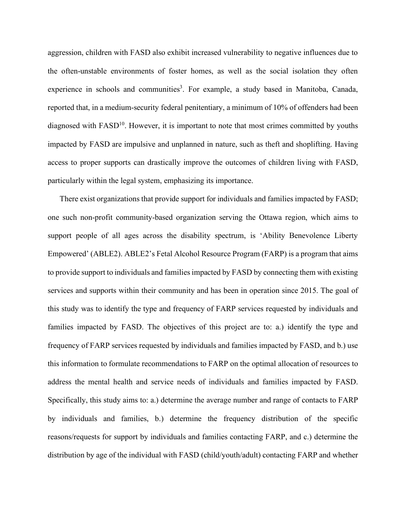aggression, children with FASD also exhibit increased vulnerability to negative influences due to the often-unstable environments of foster homes, as well as the social isolation they often experience in schools and communities<sup>3</sup>. For example, a study based in Manitoba, Canada, reported that, in a medium-security federal penitentiary, a minimum of 10% of offenders had been diagnosed with  $FASD<sup>10</sup>$ . However, it is important to note that most crimes committed by youths impacted by FASD are impulsive and unplanned in nature, such as theft and shoplifting. Having access to proper supports can drastically improve the outcomes of children living with FASD, particularly within the legal system, emphasizing its importance.

There exist organizations that provide support for individuals and families impacted by FASD; one such non-profit community-based organization serving the Ottawa region, which aims to support people of all ages across the disability spectrum, is 'Ability Benevolence Liberty Empowered' (ABLE2). ABLE2's Fetal Alcohol Resource Program (FARP) is a program that aims to provide support to individuals and families impacted by FASD by connecting them with existing services and supports within their community and has been in operation since 2015. The goal of this study was to identify the type and frequency of FARP services requested by individuals and families impacted by FASD. The objectives of this project are to: a.) identify the type and frequency of FARP services requested by individuals and families impacted by FASD, and b.) use this information to formulate recommendations to FARP on the optimal allocation of resources to address the mental health and service needs of individuals and families impacted by FASD. Specifically, this study aims to: a.) determine the average number and range of contacts to FARP by individuals and families, b.) determine the frequency distribution of the specific reasons/requests for support by individuals and families contacting FARP, and c.) determine the distribution by age of the individual with FASD (child/youth/adult) contacting FARP and whether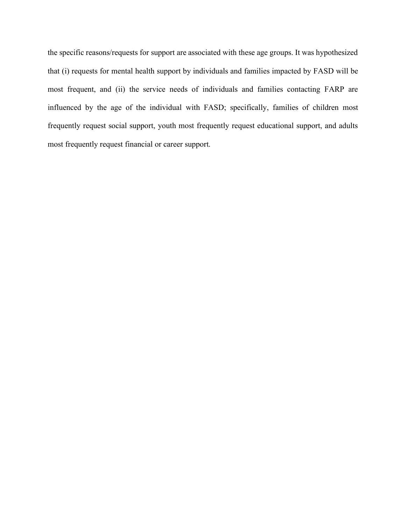the specific reasons/requests for support are associated with these age groups. It was hypothesized that (i) requests for mental health support by individuals and families impacted by FASD will be most frequent, and (ii) the service needs of individuals and families contacting FARP are influenced by the age of the individual with FASD; specifically, families of children most frequently request social support, youth most frequently request educational support, and adults most frequently request financial or career support.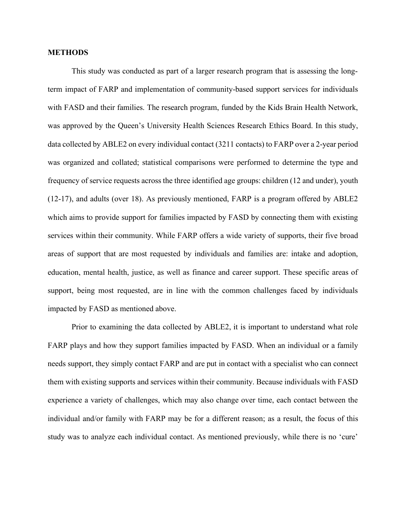## **METHODS**

This study was conducted as part of a larger research program that is assessing the longterm impact of FARP and implementation of community-based support services for individuals with FASD and their families. The research program, funded by the Kids Brain Health Network, was approved by the Queen's University Health Sciences Research Ethics Board. In this study, data collected by ABLE2 on every individual contact (3211 contacts) to FARP over a 2-year period was organized and collated; statistical comparisons were performed to determine the type and frequency of service requests across the three identified age groups: children (12 and under), youth (12-17), and adults (over 18). As previously mentioned, FARP is a program offered by ABLE2 which aims to provide support for families impacted by FASD by connecting them with existing services within their community. While FARP offers a wide variety of supports, their five broad areas of support that are most requested by individuals and families are: intake and adoption, education, mental health, justice, as well as finance and career support. These specific areas of support, being most requested, are in line with the common challenges faced by individuals impacted by FASD as mentioned above.

Prior to examining the data collected by ABLE2, it is important to understand what role FARP plays and how they support families impacted by FASD. When an individual or a family needs support, they simply contact FARP and are put in contact with a specialist who can connect them with existing supports and services within their community. Because individuals with FASD experience a variety of challenges, which may also change over time, each contact between the individual and/or family with FARP may be for a different reason; as a result, the focus of this study was to analyze each individual contact. As mentioned previously, while there is no 'cure'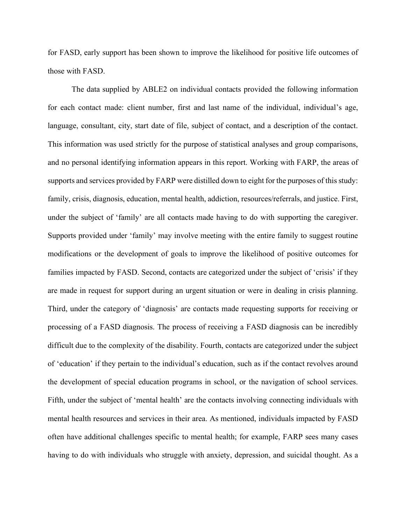for FASD, early support has been shown to improve the likelihood for positive life outcomes of those with FASD.

The data supplied by ABLE2 on individual contacts provided the following information for each contact made: client number, first and last name of the individual, individual's age, language, consultant, city, start date of file, subject of contact, and a description of the contact. This information was used strictly for the purpose of statistical analyses and group comparisons, and no personal identifying information appears in this report. Working with FARP, the areas of supports and services provided by FARP were distilled down to eight for the purposes of this study: family, crisis, diagnosis, education, mental health, addiction, resources/referrals, and justice. First, under the subject of 'family' are all contacts made having to do with supporting the caregiver. Supports provided under 'family' may involve meeting with the entire family to suggest routine modifications or the development of goals to improve the likelihood of positive outcomes for families impacted by FASD. Second, contacts are categorized under the subject of 'crisis' if they are made in request for support during an urgent situation or were in dealing in crisis planning. Third, under the category of 'diagnosis' are contacts made requesting supports for receiving or processing of a FASD diagnosis. The process of receiving a FASD diagnosis can be incredibly difficult due to the complexity of the disability. Fourth, contacts are categorized under the subject of 'education' if they pertain to the individual's education, such as if the contact revolves around the development of special education programs in school, or the navigation of school services. Fifth, under the subject of 'mental health' are the contacts involving connecting individuals with mental health resources and services in their area. As mentioned, individuals impacted by FASD often have additional challenges specific to mental health; for example, FARP sees many cases having to do with individuals who struggle with anxiety, depression, and suicidal thought. As a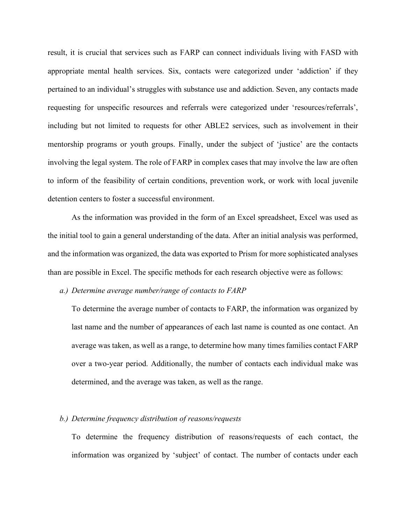result, it is crucial that services such as FARP can connect individuals living with FASD with appropriate mental health services. Six, contacts were categorized under 'addiction' if they pertained to an individual's struggles with substance use and addiction. Seven, any contacts made requesting for unspecific resources and referrals were categorized under 'resources/referrals', including but not limited to requests for other ABLE2 services, such as involvement in their mentorship programs or youth groups. Finally, under the subject of 'justice' are the contacts involving the legal system. The role of FARP in complex cases that may involve the law are often to inform of the feasibility of certain conditions, prevention work, or work with local juvenile detention centers to foster a successful environment.

As the information was provided in the form of an Excel spreadsheet, Excel was used as the initial tool to gain a general understanding of the data. After an initial analysis was performed, and the information was organized, the data was exported to Prism for more sophisticated analyses than are possible in Excel. The specific methods for each research objective were as follows:

#### *a.) Determine average number/range of contacts to FARP*

To determine the average number of contacts to FARP, the information was organized by last name and the number of appearances of each last name is counted as one contact. An average was taken, as well as a range, to determine how many times families contact FARP over a two-year period. Additionally, the number of contacts each individual make was determined, and the average was taken, as well as the range.

#### *b.) Determine frequency distribution of reasons/requests*

To determine the frequency distribution of reasons/requests of each contact, the information was organized by 'subject' of contact. The number of contacts under each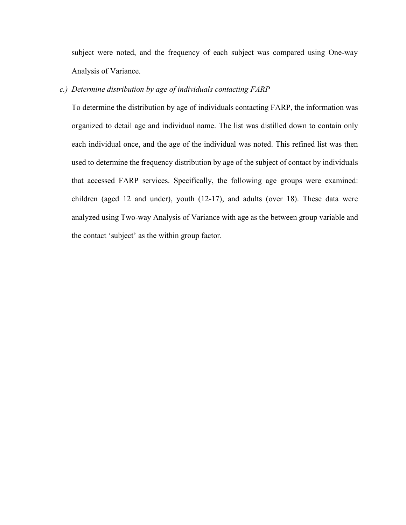subject were noted, and the frequency of each subject was compared using One-way Analysis of Variance.

# *c.) Determine distribution by age of individuals contacting FARP*

To determine the distribution by age of individuals contacting FARP, the information was organized to detail age and individual name. The list was distilled down to contain only each individual once, and the age of the individual was noted. This refined list was then used to determine the frequency distribution by age of the subject of contact by individuals that accessed FARP services. Specifically, the following age groups were examined: children (aged 12 and under), youth (12-17), and adults (over 18). These data were analyzed using Two-way Analysis of Variance with age as the between group variable and the contact 'subject' as the within group factor.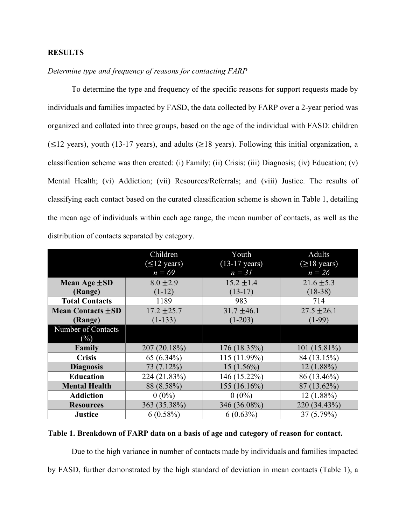# **RESULTS**

# *Determine type and frequency of reasons for contacting FARP*

To determine the type and frequency of the specific reasons for support requests made by individuals and families impacted by FASD, the data collected by FARP over a 2-year period was organized and collated into three groups, based on the age of the individual with FASD: children  $(\leq 12 \text{ years})$ , youth (13-17 years), and adults ( $\geq 18$  years). Following this initial organization, a classification scheme was then created: (i) Family; (ii) Crisis; (iii) Diagnosis; (iv) Education; (v) Mental Health; (vi) Addiction; (vii) Resources/Referrals; and (viii) Justice. The results of classifying each contact based on the curated classification scheme is shown in Table 1, detailing the mean age of individuals within each age range, the mean number of contacts, as well as the distribution of contacts separated by category.

|                          | Children                  | Youth                   | Adults            |
|--------------------------|---------------------------|-------------------------|-------------------|
|                          | $(\leq 12 \text{ years})$ | $(13-17 \text{ years})$ | $(\geq 18$ years) |
|                          | $n = 69$                  | $n = 31$                | $n = 26$          |
| Mean Age $\pm SD$        | $8.0 \pm 2.9$             | $15.2 \pm 1.4$          | $21.6 \pm 5.3$    |
| (Range)                  | $(1-12)$                  | $(13-17)$               | $(18-38)$         |
| <b>Total Contacts</b>    | 1189                      | 983                     | 714               |
| <b>Mean Contacts +SD</b> | $17.2 \pm 25.7$           | $31.7 \pm 46.1$         | $27.5 \pm 26.1$   |
| (Range)                  | $(1-133)$                 | $(1-203)$               | $(1-99)$          |
| Number of Contacts       |                           |                         |                   |
| $(\%)$                   |                           |                         |                   |
| Family                   | 207 (20.18%)              | 176 (18.35%)            | 101 $(15.81\%)$   |
| <b>Crisis</b>            | 65 $(6.34\%)$             | 115 (11.99%)            | 84 (13.15%)       |
| <b>Diagnosis</b>         | 73 (7.12%)                | $15(1.56\%)$            | $12(1.88\%)$      |
| <b>Education</b>         | 224 (21.83%)              | 146 (15.22%)            | 86 (13.46%)       |
| <b>Mental Health</b>     | 88 (8.58%)                | 155 (16.16%)            | 87 (13.62%)       |
| <b>Addiction</b>         | $0(0\%)$                  | $0(0\%)$                | $12(1.88\%)$      |
| <b>Resources</b>         | 363 (35.38%)              | 346 (36.08%)            | 220 (34.43%)      |
| <b>Justice</b>           | 6(0.58%)                  | $6(0.63\%)$             | 37 (5.79%)        |

# **Table 1. Breakdown of FARP data on a basis of age and category of reason for contact.**

Due to the high variance in number of contacts made by individuals and families impacted by FASD, further demonstrated by the high standard of deviation in mean contacts (Table 1), a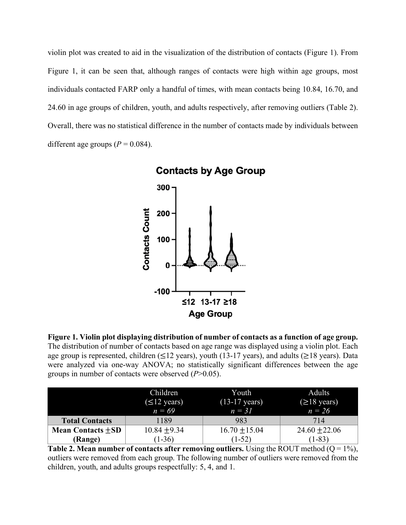violin plot was created to aid in the visualization of the distribution of contacts (Figure 1). From Figure 1, it can be seen that, although ranges of contacts were high within age groups, most individuals contacted FARP only a handful of times, with mean contacts being 10.84, 16.70, and 24.60 in age groups of children, youth, and adults respectively, after removing outliers (Table 2). Overall, there was no statistical difference in the number of contacts made by individuals between different age groups  $(P = 0.084)$ .



**Contacts by Age Group** 

**Figure 1. Violin plot displaying distribution of number of contacts as a function of age group.**  The distribution of number of contacts based on age range was displayed using a violin plot. Each age group is represented, children ( $\leq$ 12 years), youth (13-17 years), and adults ( $\geq$ 18 years). Data were analyzed via one-way ANOVA; no statistically significant differences between the age groups in number of contacts were observed (*P*>0.05).

|                        | Children<br>$(\leq 12 \text{ years})$<br>$n = 69$ | Youth<br>$(13-17 \text{ years})$<br>$n = 31$ | <b>Adults</b><br>$(\geq 18$ years)<br>$n = 26$ |
|------------------------|---------------------------------------------------|----------------------------------------------|------------------------------------------------|
| <b>Total Contacts</b>  | 1189                                              | 983                                          | 714                                            |
| Mean Contacts $\pm SD$ | $10.84 + 9.34$                                    | $16.70 + 15.04$                              | $24.60 + 22.06$                                |
| (Range)                | $(1-36)$                                          | $(1-52)$                                     | $(1-83)$                                       |

**Table 2. Mean number of contacts after removing outliers.** Using the ROUT method  $(Q = 1\%)$ , outliers were removed from each group. The following number of outliers were removed from the children, youth, and adults groups respectfully: 5, 4, and 1.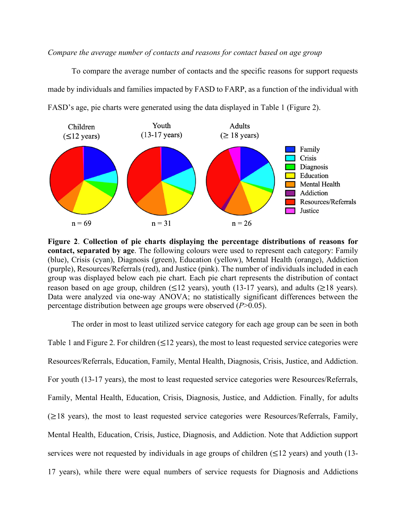*Compare the average number of contacts and reasons for contact based on age group*

To compare the average number of contacts and the specific reasons for support requests made by individuals and families impacted by FASD to FARP, as a function of the individual with FASD's age, pie charts were generated using the data displayed in Table 1 (Figure 2).



**Figure 2**. **Collection of pie charts displaying the percentage distributions of reasons for contact, separated by age**. The following colours were used to represent each category: Family (blue), Crisis (cyan), Diagnosis (green), Education (yellow), Mental Health (orange), Addiction (purple), Resources/Referrals (red), and Justice (pink). The number of individuals included in each group was displayed below each pie chart. Each pie chart represents the distribution of contact reason based on age group, children ( $\leq$ 12 years), youth (13-17 years), and adults ( $\geq$ 18 years). Data were analyzed via one-way ANOVA; no statistically significant differences between the percentage distribution between age groups were observed (*P*>0.05).

The order in most to least utilized service category for each age group can be seen in both Table 1 and Figure 2. For children  $(\leq 12 \text{ years})$ , the most to least requested service categories were Resources/Referrals, Education, Family, Mental Health, Diagnosis, Crisis, Justice, and Addiction. For youth (13-17 years), the most to least requested service categories were Resources/Referrals, Family, Mental Health, Education, Crisis, Diagnosis, Justice, and Addiction. Finally, for adults  $(\geq)$ 18 years), the most to least requested service categories were Resources/Referrals, Family, Mental Health, Education, Crisis, Justice, Diagnosis, and Addiction. Note that Addiction support services were not requested by individuals in age groups of children ( $\leq 12$  years) and youth (13-17 years), while there were equal numbers of service requests for Diagnosis and Addictions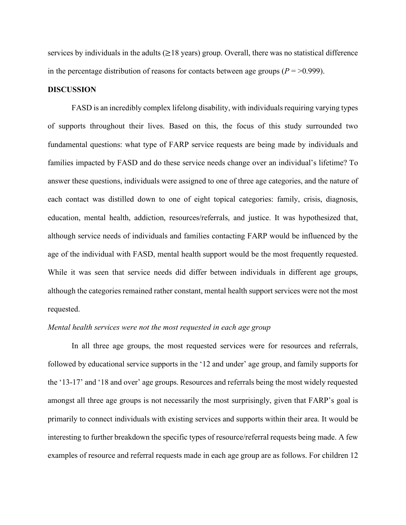services by individuals in the adults ( $\geq$ 18 years) group. Overall, there was no statistical difference in the percentage distribution of reasons for contacts between age groups ( $P = > 0.999$ ).

#### **DISCUSSION**

FASD is an incredibly complex lifelong disability, with individuals requiring varying types of supports throughout their lives. Based on this, the focus of this study surrounded two fundamental questions: what type of FARP service requests are being made by individuals and families impacted by FASD and do these service needs change over an individual's lifetime? To answer these questions, individuals were assigned to one of three age categories, and the nature of each contact was distilled down to one of eight topical categories: family, crisis, diagnosis, education, mental health, addiction, resources/referrals, and justice. It was hypothesized that, although service needs of individuals and families contacting FARP would be influenced by the age of the individual with FASD, mental health support would be the most frequently requested. While it was seen that service needs did differ between individuals in different age groups, although the categories remained rather constant, mental health support services were not the most requested.

# *Mental health services were not the most requested in each age group*

In all three age groups, the most requested services were for resources and referrals, followed by educational service supports in the '12 and under' age group, and family supports for the '13-17' and '18 and over' age groups. Resources and referrals being the most widely requested amongst all three age groups is not necessarily the most surprisingly, given that FARP's goal is primarily to connect individuals with existing services and supports within their area. It would be interesting to further breakdown the specific types of resource/referral requests being made. A few examples of resource and referral requests made in each age group are as follows. For children 12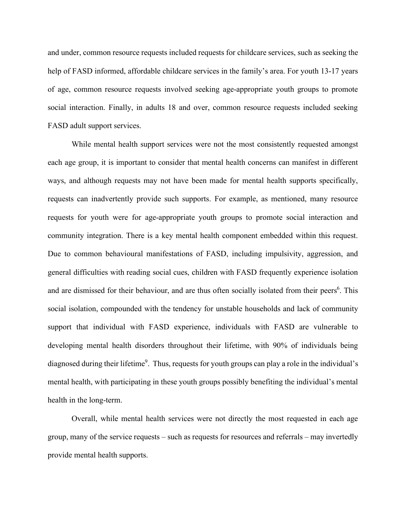and under, common resource requests included requests for childcare services, such as seeking the help of FASD informed, affordable childcare services in the family's area. For youth 13-17 years of age, common resource requests involved seeking age-appropriate youth groups to promote social interaction. Finally, in adults 18 and over, common resource requests included seeking FASD adult support services.

While mental health support services were not the most consistently requested amongst each age group, it is important to consider that mental health concerns can manifest in different ways, and although requests may not have been made for mental health supports specifically, requests can inadvertently provide such supports. For example, as mentioned, many resource requests for youth were for age-appropriate youth groups to promote social interaction and community integration. There is a key mental health component embedded within this request. Due to common behavioural manifestations of FASD, including impulsivity, aggression, and general difficulties with reading social cues, children with FASD frequently experience isolation and are dismissed for their behaviour, and are thus often socially isolated from their peers<sup>6</sup>. This social isolation, compounded with the tendency for unstable households and lack of community support that individual with FASD experience, individuals with FASD are vulnerable to developing mental health disorders throughout their lifetime, with 90% of individuals being diagnosed during their lifetime<sup>9</sup>. Thus, requests for youth groups can play a role in the individual's mental health, with participating in these youth groups possibly benefiting the individual's mental health in the long-term.

Overall, while mental health services were not directly the most requested in each age group, many of the service requests – such as requests for resources and referrals – may invertedly provide mental health supports.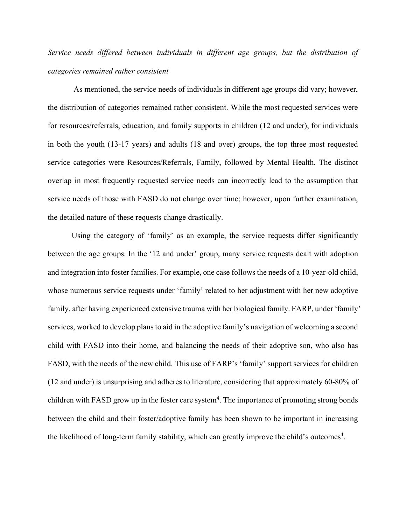*Service needs differed between individuals in different age groups, but the distribution of categories remained rather consistent*

As mentioned, the service needs of individuals in different age groups did vary; however, the distribution of categories remained rather consistent. While the most requested services were for resources/referrals, education, and family supports in children (12 and under), for individuals in both the youth (13-17 years) and adults (18 and over) groups, the top three most requested service categories were Resources/Referrals, Family, followed by Mental Health. The distinct overlap in most frequently requested service needs can incorrectly lead to the assumption that service needs of those with FASD do not change over time; however, upon further examination, the detailed nature of these requests change drastically.

Using the category of 'family' as an example, the service requests differ significantly between the age groups. In the '12 and under' group, many service requests dealt with adoption and integration into foster families. For example, one case follows the needs of a 10-year-old child, whose numerous service requests under 'family' related to her adjustment with her new adoptive family, after having experienced extensive trauma with her biological family. FARP, under 'family' services, worked to develop plans to aid in the adoptive family's navigation of welcoming a second child with FASD into their home, and balancing the needs of their adoptive son, who also has FASD, with the needs of the new child. This use of FARP's 'family' support services for children (12 and under) is unsurprising and adheres to literature, considering that approximately 60-80% of children with FASD grow up in the foster care system<sup>4</sup>. The importance of promoting strong bonds between the child and their foster/adoptive family has been shown to be important in increasing the likelihood of long-term family stability, which can greatly improve the child's outcomes<sup>4</sup>.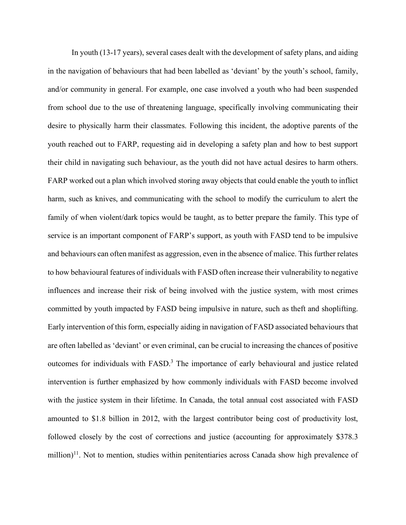In youth (13-17 years), several cases dealt with the development of safety plans, and aiding in the navigation of behaviours that had been labelled as 'deviant' by the youth's school, family, and/or community in general. For example, one case involved a youth who had been suspended from school due to the use of threatening language, specifically involving communicating their desire to physically harm their classmates. Following this incident, the adoptive parents of the youth reached out to FARP, requesting aid in developing a safety plan and how to best support their child in navigating such behaviour, as the youth did not have actual desires to harm others. FARP worked out a plan which involved storing away objects that could enable the youth to inflict harm, such as knives, and communicating with the school to modify the curriculum to alert the family of when violent/dark topics would be taught, as to better prepare the family. This type of service is an important component of FARP's support, as youth with FASD tend to be impulsive and behaviours can often manifest as aggression, even in the absence of malice. This further relates to how behavioural features of individuals with FASD often increase their vulnerability to negative influences and increase their risk of being involved with the justice system, with most crimes committed by youth impacted by FASD being impulsive in nature, such as theft and shoplifting. Early intervention of this form, especially aiding in navigation of FASD associated behaviours that are often labelled as 'deviant' or even criminal, can be crucial to increasing the chances of positive outcomes for individuals with FASD.<sup>3</sup> The importance of early behavioural and justice related intervention is further emphasized by how commonly individuals with FASD become involved with the justice system in their lifetime. In Canada, the total annual cost associated with FASD amounted to \$1.8 billion in 2012, with the largest contributor being cost of productivity lost, followed closely by the cost of corrections and justice (accounting for approximately \$378.3 million)<sup>11</sup>. Not to mention, studies within penitentiaries across Canada show high prevalence of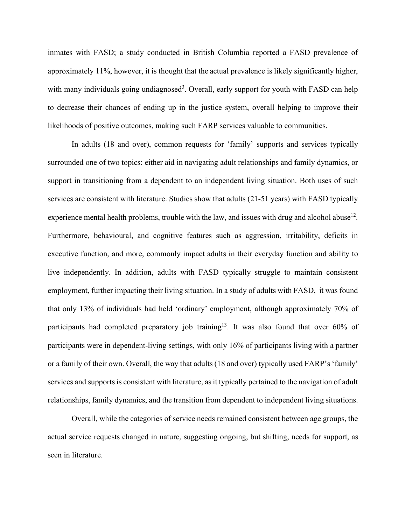inmates with FASD; a study conducted in British Columbia reported a FASD prevalence of approximately 11%, however, it is thought that the actual prevalence is likely significantly higher, with many individuals going undiagnosed<sup>3</sup>. Overall, early support for youth with FASD can help to decrease their chances of ending up in the justice system, overall helping to improve their likelihoods of positive outcomes, making such FARP services valuable to communities.

In adults (18 and over), common requests for 'family' supports and services typically surrounded one of two topics: either aid in navigating adult relationships and family dynamics, or support in transitioning from a dependent to an independent living situation. Both uses of such services are consistent with literature. Studies show that adults (21-51 years) with FASD typically experience mental health problems, trouble with the law, and issues with drug and alcohol abuse<sup>12</sup>. Furthermore, behavioural, and cognitive features such as aggression, irritability, deficits in executive function, and more, commonly impact adults in their everyday function and ability to live independently. In addition, adults with FASD typically struggle to maintain consistent employment, further impacting their living situation. In a study of adults with FASD, it was found that only 13% of individuals had held 'ordinary' employment, although approximately 70% of participants had completed preparatory job training<sup>13</sup>. It was also found that over 60% of participants were in dependent-living settings, with only 16% of participants living with a partner or a family of their own. Overall, the way that adults (18 and over) typically used FARP's 'family' services and supports is consistent with literature, as it typically pertained to the navigation of adult relationships, family dynamics, and the transition from dependent to independent living situations.

Overall, while the categories of service needs remained consistent between age groups, the actual service requests changed in nature, suggesting ongoing, but shifting, needs for support, as seen in literature.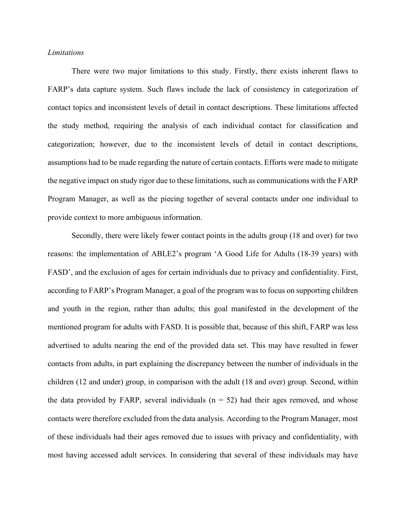# *Limitations*

There were two major limitations to this study. Firstly, there exists inherent flaws to FARP's data capture system. Such flaws include the lack of consistency in categorization of contact topics and inconsistent levels of detail in contact descriptions. These limitations affected the study method, requiring the analysis of each individual contact for classification and categorization; however, due to the inconsistent levels of detail in contact descriptions, assumptions had to be made regarding the nature of certain contacts. Efforts were made to mitigate the negative impact on study rigor due to these limitations, such as communications with the FARP Program Manager, as well as the piecing together of several contacts under one individual to provide context to more ambiguous information.

Secondly, there were likely fewer contact points in the adults group (18 and over) for two reasons: the implementation of ABLE2's program 'A Good Life for Adults (18-39 years) with FASD', and the exclusion of ages for certain individuals due to privacy and confidentiality. First, according to FARP's Program Manager, a goal of the program was to focus on supporting children and youth in the region, rather than adults; this goal manifested in the development of the mentioned program for adults with FASD. It is possible that, because of this shift, FARP was less advertised to adults nearing the end of the provided data set. This may have resulted in fewer contacts from adults, in part explaining the discrepancy between the number of individuals in the children (12 and under) group, in comparison with the adult (18 and over) group. Second, within the data provided by FARP, several individuals  $(n = 52)$  had their ages removed, and whose contacts were therefore excluded from the data analysis. According to the Program Manager, most of these individuals had their ages removed due to issues with privacy and confidentiality, with most having accessed adult services. In considering that several of these individuals may have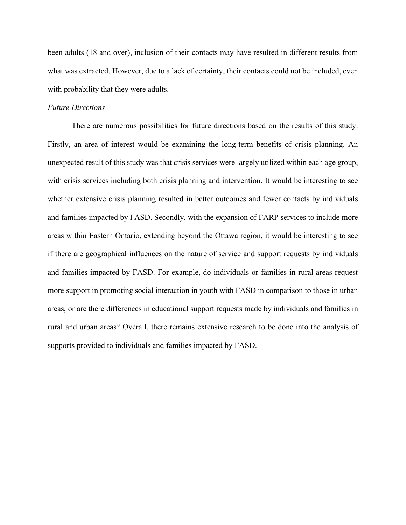been adults (18 and over), inclusion of their contacts may have resulted in different results from what was extracted. However, due to a lack of certainty, their contacts could not be included, even with probability that they were adults.

### *Future Directions*

There are numerous possibilities for future directions based on the results of this study. Firstly, an area of interest would be examining the long-term benefits of crisis planning. An unexpected result of this study was that crisis services were largely utilized within each age group, with crisis services including both crisis planning and intervention. It would be interesting to see whether extensive crisis planning resulted in better outcomes and fewer contacts by individuals and families impacted by FASD. Secondly, with the expansion of FARP services to include more areas within Eastern Ontario, extending beyond the Ottawa region, it would be interesting to see if there are geographical influences on the nature of service and support requests by individuals and families impacted by FASD. For example, do individuals or families in rural areas request more support in promoting social interaction in youth with FASD in comparison to those in urban areas, or are there differences in educational support requests made by individuals and families in rural and urban areas? Overall, there remains extensive research to be done into the analysis of supports provided to individuals and families impacted by FASD.